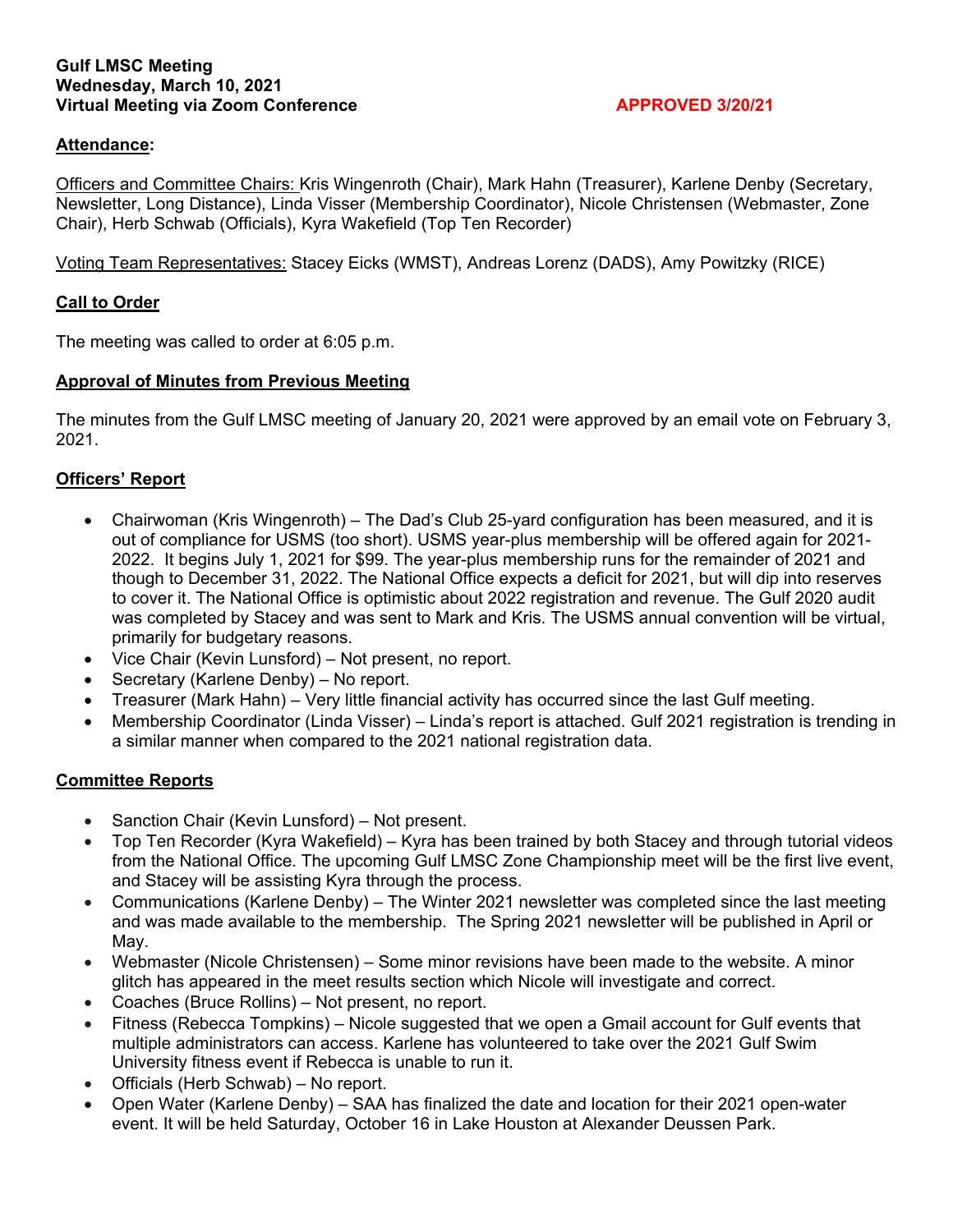#### **Gulf LMSC Meeting Wednesday, March 10, 2021**  Virtual Meeting via Zoom Conference **APPROVED 3/20/21**

### **Attendance:**

Officers and Committee Chairs: Kris Wingenroth (Chair), Mark Hahn (Treasurer), Karlene Denby (Secretary, Newsletter, Long Distance), Linda Visser (Membership Coordinator), Nicole Christensen (Webmaster, Zone Chair), Herb Schwab (Officials), Kyra Wakefield (Top Ten Recorder)

Voting Team Representatives: Stacey Eicks (WMST), Andreas Lorenz (DADS), Amy Powitzky (RICE)

### **Call to Order**

The meeting was called to order at 6:05 p.m.

### **Approval of Minutes from Previous Meeting**

The minutes from the Gulf LMSC meeting of January 20, 2021 were approved by an email vote on February 3, 2021.

## **Officers' Report**

- Chairwoman (Kris Wingenroth) The Dad's Club 25-yard configuration has been measured, and it is out of compliance for USMS (too short). USMS year-plus membership will be offered again for 2021- 2022. It begins July 1, 2021 for \$99. The year-plus membership runs for the remainder of 2021 and though to December 31, 2022. The National Office expects a deficit for 2021, but will dip into reserves to cover it. The National Office is optimistic about 2022 registration and revenue. The Gulf 2020 audit was completed by Stacey and was sent to Mark and Kris. The USMS annual convention will be virtual, primarily for budgetary reasons.
- Vice Chair (Kevin Lunsford) Not present, no report.
- Secretary (Karlene Denby) No report.
- Treasurer (Mark Hahn) Very little financial activity has occurred since the last Gulf meeting.
- Membership Coordinator (Linda Visser) Linda's report is attached. Gulf 2021 registration is trending in a similar manner when compared to the 2021 national registration data.

### **Committee Reports**

- Sanction Chair (Kevin Lunsford) Not present.
- Top Ten Recorder (Kyra Wakefield) Kyra has been trained by both Stacey and through tutorial videos from the National Office. The upcoming Gulf LMSC Zone Championship meet will be the first live event, and Stacey will be assisting Kyra through the process.
- Communications (Karlene Denby) The Winter 2021 newsletter was completed since the last meeting and was made available to the membership. The Spring 2021 newsletter will be published in April or May.
- Webmaster (Nicole Christensen) Some minor revisions have been made to the website. A minor glitch has appeared in the meet results section which Nicole will investigate and correct.
- Coaches (Bruce Rollins) Not present, no report.
- Fitness (Rebecca Tompkins) Nicole suggested that we open a Gmail account for Gulf events that multiple administrators can access. Karlene has volunteered to take over the 2021 Gulf Swim University fitness event if Rebecca is unable to run it.
- Officials (Herb Schwab) No report.
- Open Water (Karlene Denby) SAA has finalized the date and location for their 2021 open-water event. It will be held Saturday, October 16 in Lake Houston at Alexander Deussen Park.